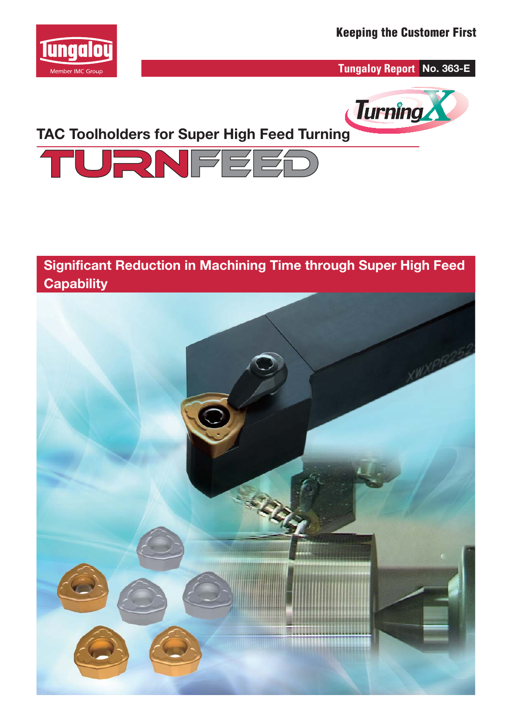

**Tungaloy Report No. 363-E**



# **TAC Toolholders for Super High Feed Turning**



### **Significant Reduction in Machining Time through Super High Feed Capability**

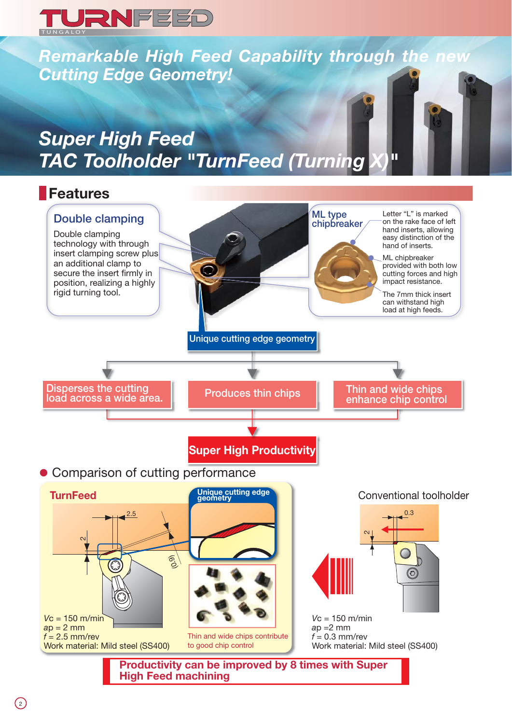

*Remarkable High Feed Capability through the new Cutting Edge Geometry!*

# *Super High Feed TAC Toolholder "TurnFeed (Turning X)"*

### **Features**

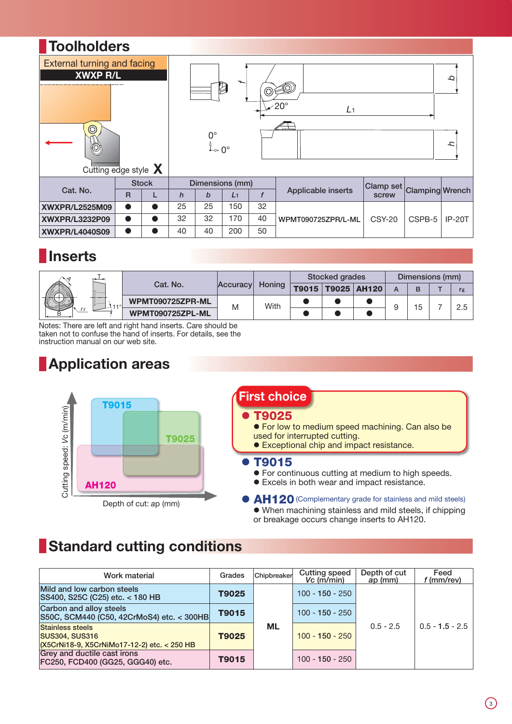

## **Inserts**

|  | $T_{1},,T_{n}$<br>1.7.000000 | Cat. No.         | Accuracy | Honing | Stocked grades |  |                         | Dimensions (mm) |    |  |     |
|--|------------------------------|------------------|----------|--------|----------------|--|-------------------------|-----------------|----|--|-----|
|  |                              |                  |          |        |                |  | T9015   T9025   AH120 ' |                 |    |  | rε  |
|  |                              | WPMT090725ZPR-ML | M        | With   |                |  |                         |                 | 15 |  | 2.5 |
|  |                              | WPMT090725ZPL-ML |          |        |                |  |                         |                 |    |  |     |

Notes: There are left and right hand inserts. Care should be taken not to confuse the hand of inserts. For details, see the instruction manual on our web site.

# **Application areas**



# **First choice**

### z **T9025**

- **•** For low to medium speed machining. Can also be used for interrupted cutting.
- **Exceptional chip and impact resistance.**

### z **T9015**

- **•** For continuous cutting at medium to high speeds.
- **•** Excels in both wear and impact resistance.

**AH120** (Complementary grade for stainless and mild steels)  $\bullet$  When machining stainless and mild steels, if chipping or breakage occurs change inserts to AH120.

# **Standard cutting conditions**

| Work material                                                                                   | Grades | Chipbreaker | <b>Cutting speed</b><br>$Vc$ (m/min) | Depth of cut<br>ap (mm) | Feed<br>$f$ (mm/rev) |  |
|-------------------------------------------------------------------------------------------------|--------|-------------|--------------------------------------|-------------------------|----------------------|--|
| Mild and low carbon steels<br>SS400, S25C (C25) etc. < 180 HB                                   | T9025  |             | $100 - 150 - 250$                    |                         |                      |  |
| Carbon and alloy steels<br>S50C, SCM440 (C50, 42CrMoS4) etc. < 300HB                            | T9015  |             | $100 - 150 - 250$                    |                         |                      |  |
| <b>Stainless steels</b><br><b>SUS304, SUS316</b><br>(X5CrNi18-9, X5CrNiMo17-12-2) etc. < 250 HB | T9025  | <b>ML</b>   | $100 - 150 - 250$                    | $0.5 - 2.5$             | $0.5 - 1.5 - 2.5$    |  |
| Grey and ductile cast irons<br>FC250, FCD400 (GG25, GGG40) etc.                                 | T9015  |             | $100 - 150 - 250$                    |                         |                      |  |